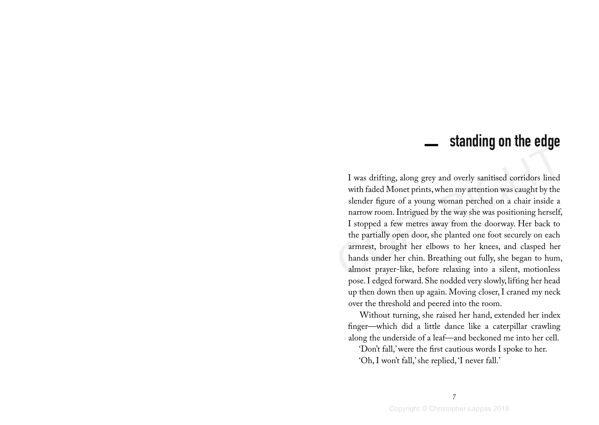## standing on the edge <u>In the company of the company of the company of the company of the company of the company of the company of the company of the company of the company of the company of the company of the company of the company of the comp</u>

I was drifting, along grey and overly sanitised corridors lined<br>with faded Monet prints, when my attention was caught by the<br>slender figure of a young woman perched on a chair inside a<br>narrow room. Intrigued by the way she I was drifting, along grey and overly sanitised corridors lined with faded Monet prints, when my attention was caught by the slender figure of a young woman perched on a chair inside a narrow room. Intrigued by the way she was positioning herself, I stopped a few metres away from the doorway. Her back to the partially open door, she planted one foot securely on each armrest, brought her elbows to her knees, and clasped her hands under her chin. Breathing out fully, she began to hum, almost prayer-like, before relaxing into a silent, motionless pose. I edged forward. She nodded very slowly, lifting her head up then down then up again. Moving closer, I craned my neck over the threshold and peered into the room.

Without turning, she raised her hand, extended her index finger—which did a little dance like a caterpillar crawling along the underside of a leaf—and beckoned me into her cell.

'Don't fall,' were the first cautious words I spoke to her.

'Oh, I won't fall,' she replied, 'I never fall.'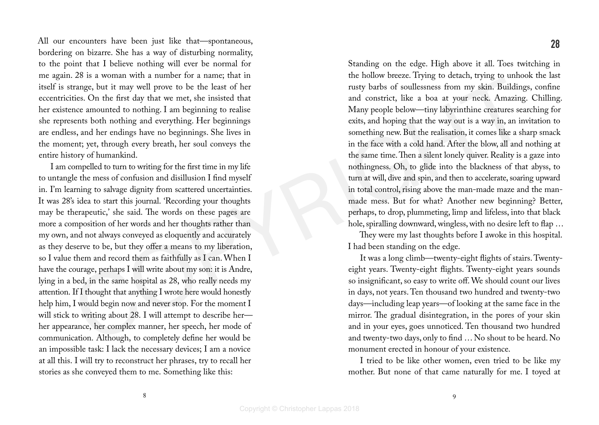All our encounters have been just like that—spontaneous, bordering on bizarre. She has a way of disturbing normality, to the point that I believe nothing will ever be normal for me again. 28 is a woman with a number for a name; that in itself is strange, but it may well prove to be the least of her eccentricities. On the first day that we met, she insisted that her existence amounted to nothing. I am beginning to realise she represents both nothing and everything. Her beginnings are endless, and her endings have no beginnings. She lives in the moment; yet, through every breath, her soul conveys the entire history of humankind.

Face is thosen in the same by the same of the leadst disk and constant papel as a moment of the lead that the same of the lead that the same of the first dynaming to realise and the same one of the first dynaming to reali I am compelled to turn to writing for the first time in my life to untangle the mess of confusion and disillusion I find myself in. I'm learning to salvage dignity from scattered uncertainties. It was 28's idea to start this journal. 'Recording your thoughts may be therapeutic,' she said. The words on these pages are more a composition of her words and her thoughts rather than my own, and not always conveyed as eloquently and accurately as they deserve to be, but they offer a means to my liberation, so I value them and record them as faithfully as I can. When I have the courage, perhaps I will write about my son: it is Andre, lying in a bed, in the same hospital as 28, who really needs my attention. If I thought that anything I wrote here would honestly help him, I would begin now and never stop. For the moment I will stick to writing about 28. I will attempt to describe her her appearance, her complex manner, her speech, her mode of communication. Although, to completely define her would be an impossible task: I lack the necessary devices; I am a novice at all this. I will try to reconstruct her phrases, try to recall her stories as she conveyed them to me. Something like this:

Standing on the edge. High above it all. Toes twitching in the hollow breeze. Trying to detach, trying to unhook the last rusty barbs of soullessness from my skin. Buildings, confine and constrict, like a boa at your neck. Amazing. Chilling. Many people below—tiny labyrinthine creatures searching for exits, and hoping that the way out is a way in, an invitation to something new. But the realisation, it comes like a sharp smack in the face with a cold hand. After the blow, all and nothing at the same time. Then a silent lonely quiver. Reality is a gaze into nothingness. Oh, to glide into the blackness of that abyss, to turn at will, dive and spin, and then to accelerate, soaring upward in total control, rising above the man-made maze and the manmade mess. But for what? Another new beginning? Better, perhaps, to drop, plummeting, limp and lifeless, into that black

They were my last thoughts before I awoke in this hospital. I had been standing on the edge.

hole, spiralling downward, wingless, with no desire left to flap …

It was a long climb—twenty-eight flights of stairs. Twentyeight years. Twenty-eight flights. Twenty-eight years sounds so insignificant, so easy to write off. We should count our lives in days, not years. Ten thousand two hundred and twenty-two days—including leap years—of looking at the same face in the mirror. The gradual disintegration, in the pores of your skin and in your eyes, goes unnoticed. Ten thousand two hundred and twenty-two days, only to find … No shout to be heard. No monument erected in honour of your existence.

I tried to be like other women, even tried to be like my mother. But none of that came naturally for me. I toyed at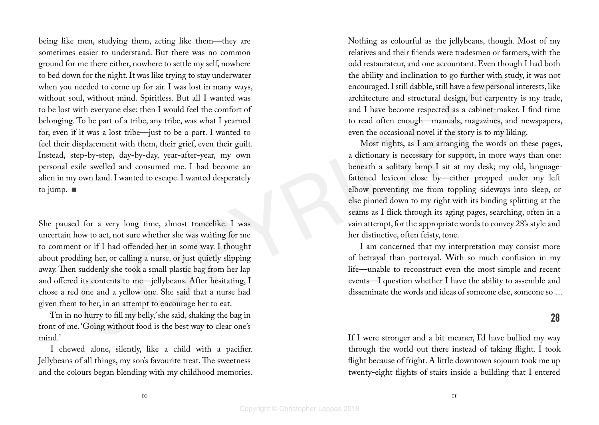Fraction contents are observed by solutional metallic content and the solution of the signal metallic content ph fract. I was lost in many ways,<br>
when the ractive content and the signal metallic was when I was what I was being like men, studying them, acting like them—they are sometimes easier to understand. But there was no common ground for me there either, nowhere to settle my self, nowhere to bed down for the night. It was like trying to stay underwater when you needed to come up for air. I was lost in many ways, without soul, without mind. Spiritless. But all I wanted was to be lost with everyone else: then I would feel the comfort of belonging. To be part of a tribe, any tribe, was what I yearned for, even if it was a lost tribe—just to be a part. I wanted to feel their displacement with them, their grief, even their guilt. Instead, step-by-step, day-by-day, year-after-year, my own personal exile swelled and consumed me. I had become an alien in my own land. I wanted to escape. I wanted desperately to jump.

She paused for a very long time, almost trancelike. I was uncertain how to act, not sure whether she was waiting for me to comment or if I had offended her in some way. I thought about prodding her, or calling a nurse, or just quietly slipping away. Then suddenly she took a small plastic bag from her lap and offered its contents to me—jellybeans. After hesitating, I chose a red one and a yellow one. She said that a nurse had given them to her, in an attempt to encourage her to eat.

'I'm in no hurry to fill my belly,' she said, shaking the bag in front of me. 'Going without food is the best way to clear one's mind.'

I chewed alone, silently, like a child with a pacifier. Jellybeans of all things, my son's favourite treat. The sweetness and the colours began blending with my childhood memories. Nothing as colourful as the jellybeans, though. Most of my relatives and their friends were tradesmen or farmers, with the odd restaurateur, and one accountant. Even though I had both the ability and inclination to go further with study, it was not encouraged. I still dabble, still have a few personal interests, like architecture and structural design, but carpentry is my trade, and I have become respected as a cabinet-maker. I find time to read often enough—manuals, magazines, and newspapers, even the occasional novel if the story is to my liking.

Most nights, as I am arranging the words on these pages, a dictionary is necessary for support, in more ways than one: beneath a solitary lamp I sit at my desk; my old, languagefattened lexicon close by—either propped under my left elbow preventing me from toppling sideways into sleep, or else pinned down to my right with its binding splitting at the seams as I flick through its aging pages, searching, often in a vain attempt, for the appropriate words to convey 28's style and her distinctive, often feisty, tone.

I am concerned that my interpretation may consist more of betrayal than portrayal. With so much confusion in my life—unable to reconstruct even the most simple and recent events—I question whether I have the ability to assemble and disseminate the words and ideas of someone else, someone so …

## 28

If I were stronger and a bit meaner, I'd have bullied my way through the world out there instead of taking flight. I took flight because of fright. A little downtown sojourn took me up twenty-eight flights of stairs inside a building that I entered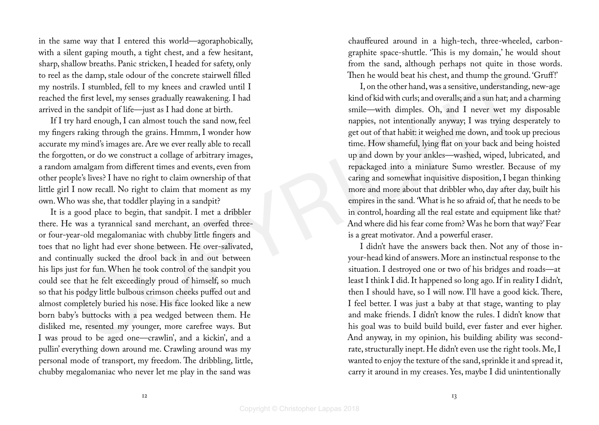in the same way that I entered this world—agoraphobically, with a silent gaping mouth, a tight chest, and a few hesitant, sharp, shallow breaths. Panic stricken, I headed for safety, only to reel as the damp, stale odour of the concrete stairwell filled my nostrils. I stumbled, fell to my knees and crawled until I reached the first level, my senses gradually reawakening. I had arrived in the sandpit of life—just as I had done at birth.

If I try hard enough, I can almost touch the sand now, feel my fingers raking through the grains. Hmmm, I wonder how accurate my mind's images are. Are we ever really able to recall the forgotten, or do we construct a collage of arbitrary images, a random amalgam from different times and events, even from other people's lives? I have no right to claim ownership of that little girl I now recall. No right to claim that moment as my own. Who was she, that toddler playing in a sandpit?

It is a good place to begin, that sandpit. I met a dribbler there. He was a tyrannical sand merchant, an overfed threeor four-year-old megalomaniac with chubby little fingers and toes that no light had ever shone between. He over-salivated, and continually sucked the drool back in and out between his lips just for fun. When he took control of the sandpit you could see that he felt exceedingly proud of himself, so much so that his podgy little bulbous crimson cheeks puffed out and almost completely buried his nose. His face looked like a new born baby's buttocks with a pea wedged between them. He disliked me, resented my younger, more carefree ways. But I was proud to be aged one—crawlin', and a kickin', and a pullin' everything down around me. Crawling around was my personal mode of transport, my freedom. The dribbling, little, chubby megalomaniac who never let me play in the sand was

chauffeured around in a high-tech, three-wheeled, carbongraphite space-shuttle. 'This is my domain,' he would shout from the sand, although perhaps not quite in those words. Then he would beat his chest, and thump the ground. 'Gruff!'

Content that the proposition of the same of the same of the same of the same of the same of the same of the same of the same of the same of the same of the same of the same of the same of the same of the same of the same I, on the other hand, was a sensitive, understanding, new-age kind of kid with curls; and overalls; and a sun hat; and a charming smile—with dimples. Oh, and I never wet my disposable nappies, not intentionally anyway; I was trying desperately to get out of that habit: it weighed me down, and took up precious time. How shameful, lying flat on your back and being hoisted up and down by your ankles—washed, wiped, lubricated, and repackaged into a miniature Sumo wrestler. Because of my caring and somewhat inquisitive disposition, I began thinking more and more about that dribbler who, day after day, built his empires in the sand. 'What is he so afraid of, that he needs to be in control, hoarding all the real estate and equipment like that? And where did his fear come from? Was he born that way?' Fear is a great motivator. And a powerful eraser.

I didn't have the answers back then. Not any of those inyour-head kind of answers. More an instinctual response to the situation. I destroyed one or two of his bridges and roads—at least I think I did. It happened so long ago. If in reality I didn't, then I should have, so I will now. I'll have a good kick. There, I feel better. I was just a baby at that stage, wanting to play and make friends. I didn't know the rules. I didn't know that his goal was to build build build, ever faster and ever higher. And anyway, in my opinion, his building ability was secondrate, structurally inept. He didn't even use the right tools. Me, I wanted to enjoy the texture of the sand, sprinkle it and spread it, carry it around in my creases. Yes, maybe I did unintentionally